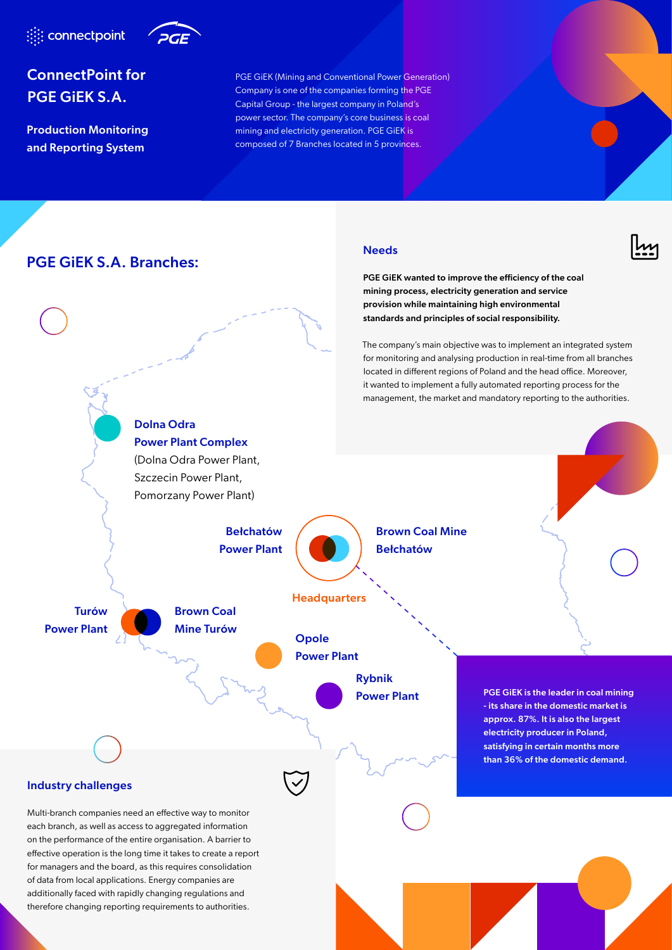



# ConnectPoint for PGE GiEK S.A.

Production Monitoring and Reporting System

PGE GiEK (Mining and Conventional Power Generation) Company is one of the companies forming the PGE Capital Group - the largest company in Poland's power sector. The company's core business is coal mining and electricity generation. PGE GiEK is composed of 7 Branches located in 5 provinces.

**Needs** 

PGE GiEK wanted to improve the efficiency of the coal

## PGE GiEK S.A. Branches:

therefore changing reporting requirements to authorities.

## Dolna Odra Power Plant Complex (Dolna Odra Power Plant, Szczecin Power Plant, Pomorzany Power Plant) mining process, electricity generation and service provision while maintaining high environmental standards and principles of social responsibility. The company's main objective was to implement an integrated system for monitoring and analysing production in real-time from all branches located in different regions of Poland and the head office. Moreover, it wanted to implement a fully automated reporting process for the management, the market and mandatory reporting to the authorities. Industry challenges Multi-branch companies need an effective way to monitor each branch, as well as access to aggregated information on the performance of the entire organisation. A barrier to effective operation is the long time it takes to create a report for managers and the board, as this requires consolidation of data from local applications. Energy companies are additionally faced with rapidly changing regulations and Brown Coal Mine Bełchatów Bełchatów Power Plant Turów Power Plant Brown Coal Mine Turów **Opole** Power Plant Rybnik Power Plant PGE GiEK is the leader in coal mining - its share in the domestic market is approx. 87%. It is also the largest electricity producer in Poland, satisfying in certain months more than 36% of the domestic demand. **Headquarters**